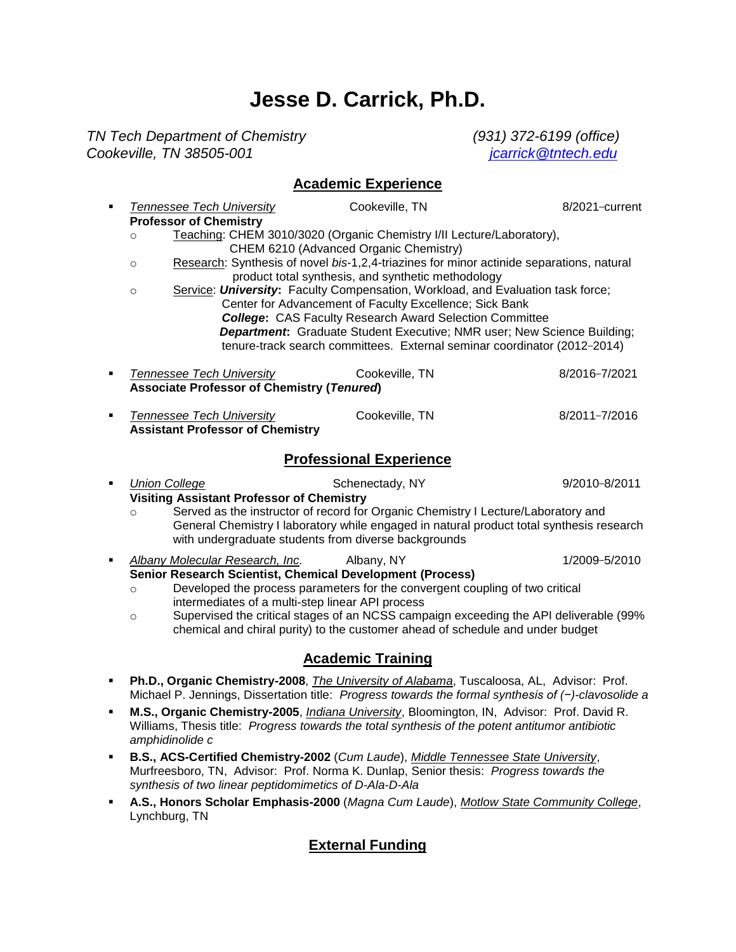# **Jesse D. Carrick, Ph.D.**

*TN Tech Department of Chemistry (931) 372-6199 (office) Cookeville, TN 38505-001 [jcarrick@tntech.edu](mailto:jcarrick@tntech.edu)*

## **Academic Experience**

| $\blacksquare$                 | <b>Tennessee Tech University</b>                                                                                                                                                                                                                                                                                                                                 | Cookeville, TN                                                                                                                                                                                                                                                                                                                                                                                                                                                                                                                                                                                                                           | 8/2021-current |
|--------------------------------|------------------------------------------------------------------------------------------------------------------------------------------------------------------------------------------------------------------------------------------------------------------------------------------------------------------------------------------------------------------|------------------------------------------------------------------------------------------------------------------------------------------------------------------------------------------------------------------------------------------------------------------------------------------------------------------------------------------------------------------------------------------------------------------------------------------------------------------------------------------------------------------------------------------------------------------------------------------------------------------------------------------|----------------|
|                                | <b>Professor of Chemistry</b><br>$\circ$<br>$\circ$<br>$\circ$                                                                                                                                                                                                                                                                                                   | Teaching: CHEM 3010/3020 (Organic Chemistry I/II Lecture/Laboratory),<br>CHEM 6210 (Advanced Organic Chemistry)<br>Research: Synthesis of novel bis-1,2,4-triazines for minor actinide separations, natural<br>product total synthesis, and synthetic methodology<br>Service: University: Faculty Compensation, Workload, and Evaluation task force;<br>Center for Advancement of Faculty Excellence; Sick Bank<br><b>College:</b> CAS Faculty Research Award Selection Committee<br>Department: Graduate Student Executive; NMR user; New Science Building;<br>tenure-track search committees. External seminar coordinator (2012-2014) |                |
| ٠                              | <b>Tennessee Tech University</b><br><b>Associate Professor of Chemistry (Tenured)</b>                                                                                                                                                                                                                                                                            | Cookeville, TN                                                                                                                                                                                                                                                                                                                                                                                                                                                                                                                                                                                                                           | 8/2016-7/2021  |
| ٠                              | <b>Tennessee Tech University</b><br><b>Assistant Professor of Chemistry</b>                                                                                                                                                                                                                                                                                      | Cookeville, TN                                                                                                                                                                                                                                                                                                                                                                                                                                                                                                                                                                                                                           | 8/2011-7/2016  |
| <b>Professional Experience</b> |                                                                                                                                                                                                                                                                                                                                                                  |                                                                                                                                                                                                                                                                                                                                                                                                                                                                                                                                                                                                                                          |                |
| ٠                              | <b>Union College</b><br>9/2010-8/2011<br>Schenectady, NY<br><b>Visiting Assistant Professor of Chemistry</b><br>Served as the instructor of record for Organic Chemistry I Lecture/Laboratory and<br>$\circ$<br>General Chemistry I laboratory while engaged in natural product total synthesis research<br>with undergraduate students from diverse backgrounds |                                                                                                                                                                                                                                                                                                                                                                                                                                                                                                                                                                                                                                          |                |
| ٠                              | Albany Molecular Research, Inc.<br>Senior Research Scientist, Chemical Development (Process)<br>$\circ$<br>intermediates of a multi-step linear API process<br>$\circ$                                                                                                                                                                                           | Albany, NY<br>Developed the process parameters for the convergent coupling of two critical<br>Supervised the critical stages of an NCSS campaign exceeding the API deliverable (99%<br>chemical and chiral purity) to the customer ahead of schedule and under budget                                                                                                                                                                                                                                                                                                                                                                    | 1/2009-5/2010  |
|                                |                                                                                                                                                                                                                                                                                                                                                                  | <b>Academic Training</b>                                                                                                                                                                                                                                                                                                                                                                                                                                                                                                                                                                                                                 |                |
| ٠                              | Ph.D., Organic Chemistry-2008, <i>The University of Alabama</i> , Tuscaloosa, AL, Advisor: Prof.<br>Michael P. Jennings, Dissertation title: Progress towards the formal synthesis of (-)-clavosolide a                                                                                                                                                          |                                                                                                                                                                                                                                                                                                                                                                                                                                                                                                                                                                                                                                          |                |
| $\blacksquare$                 | M.S., Organic Chemistry-2005, <i>Indiana University</i> , Bloomington, IN, Advisor: Prof. David R.                                                                                                                                                                                                                                                               |                                                                                                                                                                                                                                                                                                                                                                                                                                                                                                                                                                                                                                          |                |

- Williams, Thesis title: *Progress towards the total synthesis of the potent antitumor antibiotic amphidinolide c*
- **B.S., ACS-Certified Chemistry-2002** (*Cum Laude*), *Middle Tennessee State University*, Murfreesboro, TN, Advisor: Prof. Norma K. Dunlap, Senior thesis: *Progress towards the synthesis of two linear peptidomimetics of D-Ala-D-Ala*
- **A.S., Honors Scholar Emphasis-2000** (*Magna Cum Laude*), *Motlow State Community College*, Lynchburg, TN

# **External Funding**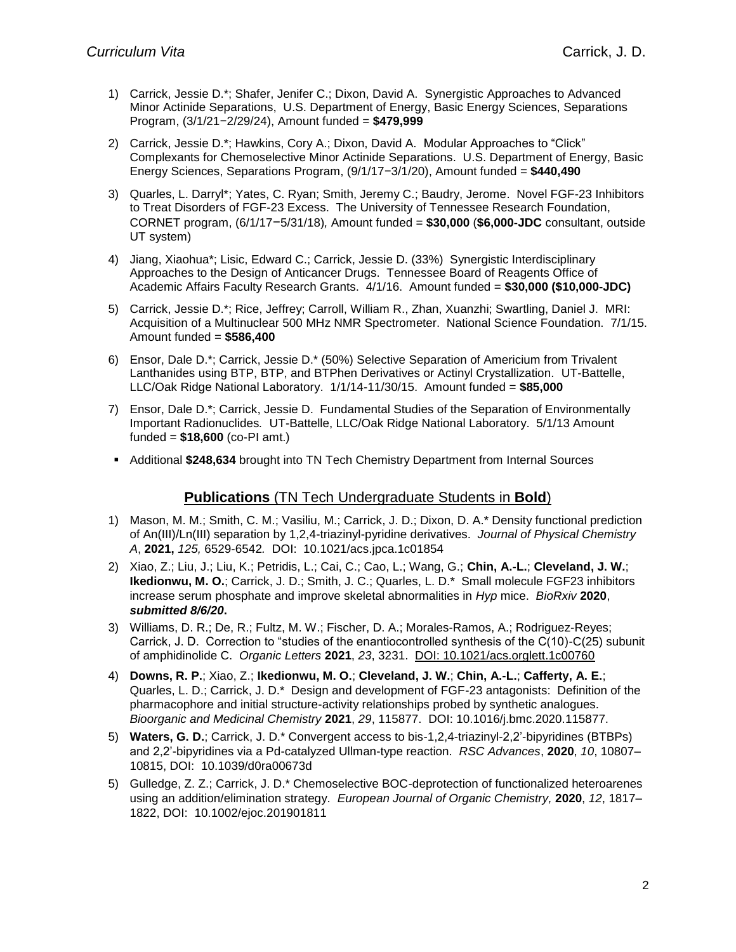- 1) Carrick, Jessie D.\*; Shafer, Jenifer C.; Dixon, David A. Synergistic Approaches to Advanced Minor Actinide Separations, U.S. Department of Energy, Basic Energy Sciences, Separations Program, (3/1/21−2/29/24), Amount funded = **\$479,999**
- 2) Carrick, Jessie D.\*; Hawkins, Cory A.; Dixon, David A. Modular Approaches to "Click" Complexants for Chemoselective Minor Actinide Separations. U.S. Department of Energy, Basic Energy Sciences, Separations Program, (9/1/17−3/1/20), Amount funded = **\$440,490**
- 3) Quarles, L. Darryl\*; Yates, C. Ryan; Smith, Jeremy C.; Baudry, Jerome. Novel FGF-23 Inhibitors to Treat Disorders of FGF-23 Excess. The University of Tennessee Research Foundation, CORNET program, (6/1/17−5/31/18)*,* Amount funded = **\$30,000** (**\$6,000-JDC** consultant, outside UT system)
- 4) Jiang, Xiaohua\*; Lisic, Edward C.; Carrick, Jessie D. (33%) Synergistic Interdisciplinary Approaches to the Design of Anticancer Drugs. Tennessee Board of Reagents Office of Academic Affairs Faculty Research Grants. 4/1/16. Amount funded = **\$30,000 (\$10,000-JDC)**
- 5) Carrick, Jessie D.\*; Rice, Jeffrey; Carroll, William R., Zhan, Xuanzhi; Swartling, Daniel J. MRI: Acquisition of a Multinuclear 500 MHz NMR Spectrometer. National Science Foundation. 7/1/15. Amount funded = **\$586,400**
- 6) Ensor, Dale D.\*; Carrick, Jessie D.\* (50%) Selective Separation of Americium from Trivalent Lanthanides using BTP, BTP, and BTPhen Derivatives or Actinyl Crystallization*.* UT-Battelle, LLC/Oak Ridge National Laboratory. 1/1/14-11/30/15. Amount funded = **\$85,000**
- 7) Ensor, Dale D.\*; Carrick, Jessie D. Fundamental Studies of the Separation of Environmentally Important Radionuclides*.* UT-Battelle, LLC/Oak Ridge National Laboratory. 5/1/13 Amount funded = **\$18,600** (co-PI amt.)
- Additional **\$248,634** brought into TN Tech Chemistry Department from Internal Sources

## **Publications** (TN Tech Undergraduate Students in **Bold**)

- 1) Mason, M. M.; Smith, C. M.; Vasiliu, M.; Carrick, J. D.; Dixon, D. A.\* Density functional prediction of An(III)/Ln(III) separation by 1,2,4-triazinyl-pyridine derivatives. *Journal of Physical Chemistry A*, **2021,** *125,* 6529-6542*.* DOI: 10.1021/acs.jpca.1c01854
- 2) Xiao, Z.; Liu, J.; Liu, K.; Petridis, L.; Cai, C.; Cao, L.; Wang, G.; **Chin, A.-L.**; **Cleveland, J. W.**; **Ikedionwu, M. O.**; Carrick, J. D.; Smith, J. C.; Quarles, L. D.\* Small molecule FGF23 inhibitors increase serum phosphate and improve skeletal abnormalities in *Hyp* mice. *BioRxiv* **2020**, *submitted 8/6/20***.**
- 3) Williams, D. R.; De, R.; Fultz, M. W.; Fischer, D. A.; Morales-Ramos, A.; Rodriguez-Reyes; Carrick, J. D. Correction to "studies of the enantiocontrolled synthesis of the C(10)-C(25) subunit of amphidinolide C. *Organic Letters* **2021**, *23*, 3231. DOI: [10.1021/acs.orglett.1c00760](https://chemport.cas.org/cgi-bin/sdcgi?FID=LINK&BTN=CROSSREF&SID=240877-1423056098-103&APP=cp_scifinder&CLI=scifinder&URL=https%3A%2F%2Fdoi%2Eorg%2F10%2E1021%2Facs%2Eorglett%2E1c00760)
- 4) **Downs, R. P.**; Xiao, Z.; **Ikedionwu, M. O.**; **Cleveland, J. W.**; **Chin, A.-L.**; **Cafferty, A. E.**; Quarles, L. D.; Carrick, J. D.\* Design and development of FGF-23 antagonists: Definition of the pharmacophore and initial structure-activity relationships probed by synthetic analogues. *Bioorganic and Medicinal Chemistry* **2021**, *29*, 115877. DOI: 10.1016/j.bmc.2020.115877.
- 5) **Waters, G. D.**; Carrick, J. D.\* Convergent access to bis-1,2,4-triazinyl-2,2'-bipyridines (BTBPs) and 2,2'-bipyridines via a Pd-catalyzed Ullman-type reaction. *RSC Advances*, **2020**, *10*, 10807– 10815, DOI: [10.1039/d0ra00673d](http://xlink.rsc.org/?DOI=d0ra00673d)
- 5) Gulledge, Z. Z.; Carrick, J. D.\* Chemoselective BOC-deprotection of functionalized heteroarenes using an addition/elimination strategy. *European Journal of Organic Chemistry,* **2020**, *12*, 1817– 1822, DOI: 10.1002/ejoc.201901811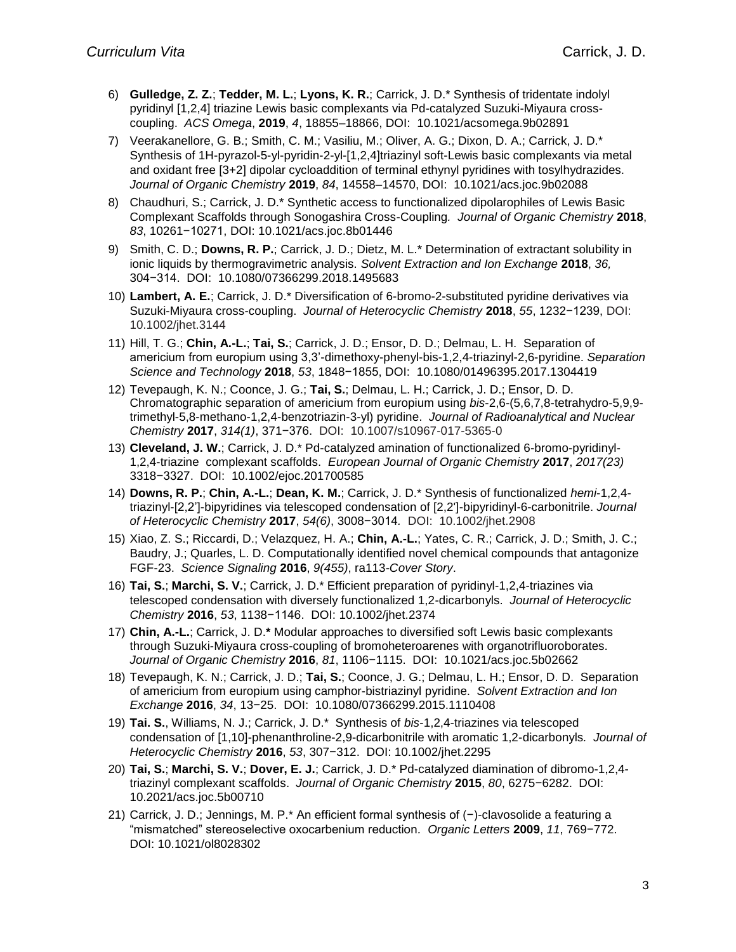- 6) **Gulledge, Z. Z.**; **Tedder, M. L.**; **Lyons, K. R.**; Carrick, J. D.\* Synthesis of tridentate indolyl pyridinyl [1,2,4] triazine Lewis basic complexants via Pd-catalyzed Suzuki-Miyaura crosscoupling. *ACS Omega*, **2019**, *4*, 18855–18866, DOI: 10.1021/acsomega.9b02891
- 7) Veerakanellore, G. B.; Smith, C. M.; Vasiliu, M.; Oliver, A. G.; Dixon, D. A.; Carrick, J. D.\* Synthesis of 1H-pyrazol-5-yl-pyridin-2-yl-[1,2,4]triazinyl soft-Lewis basic complexants via metal and oxidant free [3+2] dipolar cycloaddition of terminal ethynyl pyridines with tosylhydrazides. *Journal of Organic Chemistry* **2019**, *84*, 14558–14570, DOI: 10.1021/acs.joc.9b02088
- 8) Chaudhuri, S.; Carrick, J. D.\* Synthetic access to functionalized dipolarophiles of Lewis Basic Complexant Scaffolds through Sonogashira Cross-Coupling*. Journal of Organic Chemistry* **2018**, *83*, 10261−10271, DOI: 10.1021/acs.joc.8b01446
- 9) Smith, C. D.; **Downs, R. P.**; Carrick, J. D.; Dietz, M. L.\* Determination of extractant solubility in ionic liquids by thermogravimetric analysis. *Solvent Extraction and Ion Exchange* **2018**, *36,*  304−314. DOI: 10.1080/07366299.2018.1495683
- 10) **Lambert, A. E.**; Carrick, J. D.\* Diversification of 6-bromo-2-substituted pyridine derivatives via Suzuki-Miyaura cross-coupling. *Journal of Heterocyclic Chemistry* **2018**, *55*, 1232−1239, DOI: 10.1002/jhet.3144
- 11) Hill, T. G.; **Chin, A.-L.**; **Tai, S.**; Carrick, J. D.; Ensor, D. D.; Delmau, L. H. Separation of americium from europium using 3,3'-dimethoxy-phenyl-bis-1,2,4-triazinyl-2,6-pyridine. *Separation Science and Technology* **2018**, *53*, 1848−1855, DOI: 10.1080/01496395.2017.1304419
- 12) Tevepaugh, K. N.; Coonce, J. G.; **Tai, S.**; Delmau, L. H.; Carrick, J. D.; Ensor, D. D. Chromatographic separation of americium from europium using *bis*-2,6-(5,6,7,8-tetrahydro-5,9,9 trimethyl-5,8-methano-1,2,4-benzotriazin-3-yl) pyridine. *Journal of Radioanalytical and Nuclear Chemistry* **2017**, *314(1)*, 371−376. DOI: 10.1007/s10967-017-5365-0
- 13) **Cleveland, J. W.**; Carrick, J. D.\* Pd-catalyzed amination of functionalized 6-bromo-pyridinyl-1,2,4-triazine complexant scaffolds. *European Journal of Organic Chemistry* **2017**, *2017(23)* 3318−3327. DOI: 10.1002/ejoc.201700585
- 14) **Downs, R. P.**; **Chin, A.-L.**; **Dean, K. M.**; Carrick, J. D.\* Synthesis of functionalized *hemi*-1,2,4 triazinyl-[2,2']-bipyridines via telescoped condensation of [2,2']-bipyridinyl-6-carbonitrile. *Journal of Heterocyclic Chemistry* **2017**, *54(6)*, 3008−3014*.* DOI: 10.1002/jhet.2908
- 15) Xiao, Z. S.; Riccardi, D.; Velazquez, H. A.; **Chin, A.-L.**; Yates, C. R.; Carrick, J. D.; Smith, J. C.; Baudry, J.; Quarles, L. D. Computationally identified novel chemical compounds that antagonize FGF-23. *Science Signaling* **2016**, *9(455)*, ra113*-Cover Story*.
- 16) **Tai, S.**; **Marchi, S. V.**; Carrick, J. D.\* Efficient preparation of pyridinyl-1,2,4-triazines via telescoped condensation with diversely functionalized 1,2-dicarbonyls. *Journal of Heterocyclic Chemistry* **2016**, *53*, 1138−1146. DOI: 10.1002/jhet.2374
- 17) **Chin, A.-L.**; Carrick, J. D.**\*** Modular approaches to diversified soft Lewis basic complexants through Suzuki-Miyaura cross-coupling of bromoheteroarenes with organotrifluoroborates. *Journal of Organic Chemistry* **2016**, *81*, 1106−1115. [DOI: 10.1021/acs.joc.5b02662](http://dx.doi.org/10.1021/acs.joc.5b02662)
- 18) Tevepaugh, K. N.; Carrick, J. D.; **Tai, S.**; Coonce, J. G.; Delmau, L. H.; Ensor, D. D. Separation of americium from europium using camphor-bistriazinyl pyridine. *Solvent Extraction and Ion Exchange* **2016**, *34*, 13−25. DOI: 10.1080/07366299.2015.1110408
- 19) **Tai. S.**, Williams, N. J.; Carrick, J. D.\* Synthesis of *bis*-1,2,4-triazines via telescoped condensation of [1,10]-phenanthroline-2,9-dicarbonitrile with aromatic 1,2-dicarbonyls*. Journal of Heterocyclic Chemistry* **2016**, *53*, 307−312. DOI: 10.1002/jhet.2295
- 20) **Tai, S.**; **Marchi, S. V.**; **Dover, E. J.**; Carrick, J. D.\* Pd-catalyzed diamination of dibromo-1,2,4 triazinyl complexant scaffolds. *Journal of Organic Chemistry* **2015**, *80*, 6275−6282. DOI: 10.2021/acs.joc.5b00710
- 21) Carrick, J. D.; Jennings, M. P.\* An efficient formal synthesis of (−)-clavosolide a featuring a "mismatched" stereoselective oxocarbenium reduction*. Organic Letters* **2009**, *11*, 769−772. DOI: 10.1021/ol8028302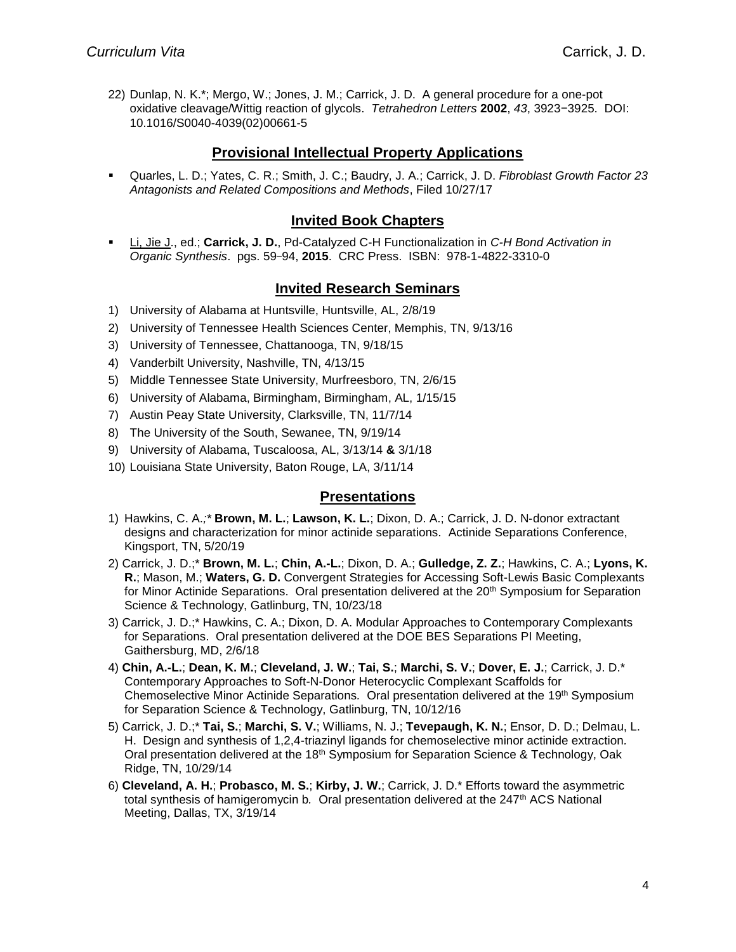22) Dunlap, N. K.\*; Mergo, W.; Jones, J. M.; Carrick, J. D. A general procedure for a one-pot oxidative cleavage/Wittig reaction of glycols. *Tetrahedron Letters* **2002**, *43*, 3923−3925. DOI: 10.1016/S0040-4039(02)00661-5

### **Provisional Intellectual Property Applications**

▪ Quarles, L. D.; Yates, C. R.; Smith, J. C.; Baudry, J. A.; Carrick, J. D. *Fibroblast Growth Factor 23 Antagonists and Related Compositions and Methods*, Filed 10/27/17

#### **Invited Book Chapters**

▪ Li, Jie J., ed.; **Carrick, J. D.**, Pd-Catalyzed C-H Functionalization in *C-H Bond Activation in Organic Synthesis*. pgs. 59−94, **2015**. CRC Press. ISBN: 978-1-4822-3310-0

#### **Invited Research Seminars**

- 1) University of Alabama at Huntsville, Huntsville, AL, 2/8/19
- 2) University of Tennessee Health Sciences Center, Memphis, TN, 9/13/16
- 3) University of Tennessee, Chattanooga, TN, 9/18/15
- 4) Vanderbilt University, Nashville, TN, 4/13/15
- 5) Middle Tennessee State University, Murfreesboro, TN, 2/6/15
- 6) University of Alabama, Birmingham, Birmingham, AL, 1/15/15
- 7) Austin Peay State University, Clarksville, TN, 11/7/14
- 8) The University of the South, Sewanee, TN, 9/19/14
- 9) University of Alabama, Tuscaloosa, AL, 3/13/14 **&** 3/1/18
- 10) Louisiana State University, Baton Rouge, LA, 3/11/14

#### **Presentations**

- 1) Hawkins, C. A.*;\** **Brown, M. L.**; **Lawson, K. L.**; Dixon, D. A.; Carrick, J. D. N‐donor extractant designs and characterization for minor actinide separations*.* Actinide Separations Conference, Kingsport, TN, 5/20/19
- 2) Carrick, J. D.;\* **Brown, M. L.**; **Chin, A.-L.**; Dixon, D. A.; **Gulledge, Z. Z.**; Hawkins, C. A.; **Lyons, K. R.**; Mason, M.; **Waters, G. D.** Convergent Strategies for Accessing Soft-Lewis Basic Complexants for Minor Actinide Separations.Oral presentation delivered at the 20th Symposium for Separation Science & Technology, Gatlinburg, TN, 10/23/18
- 3) Carrick, J. D.;\* Hawkins, C. A.; Dixon, D. A. Modular Approaches to Contemporary Complexants for Separations. Oral presentation delivered at the DOE BES Separations PI Meeting, Gaithersburg, MD, 2/6/18
- 4) **Chin, A.-L.**; **Dean, K. M.**; **Cleveland, J. W.**; **Tai, S.**; **Marchi, S. V.**; **Dover, E. J.**; Carrick, J. D.\* Contemporary Approaches to Soft-N-Donor Heterocyclic Complexant Scaffolds for Chemoselective Minor Actinide Separations*.* Oral presentation delivered at the 19th Symposium for Separation Science & Technology, Gatlinburg, TN, 10/12/16
- 5) Carrick, J. D.;\* **Tai, S.**; **Marchi, S. V.**; Williams, N. J.; **Tevepaugh, K. N.**; Ensor, D. D.; Delmau, L. H. Design and synthesis of 1,2,4-triazinyl ligands for chemoselective minor actinide extraction*.* Oral presentation delivered at the 18th Symposium for Separation Science & Technology, Oak Ridge, TN, 10/29/14
- 6) **Cleveland, A. H.**; **Probasco, M. S.**; **Kirby, J. W.**; Carrick, J. D.\* Efforts toward the asymmetric total synthesis of hamigeromycin b*.* Oral presentation delivered at the 247th ACS National Meeting, Dallas, TX, 3/19/14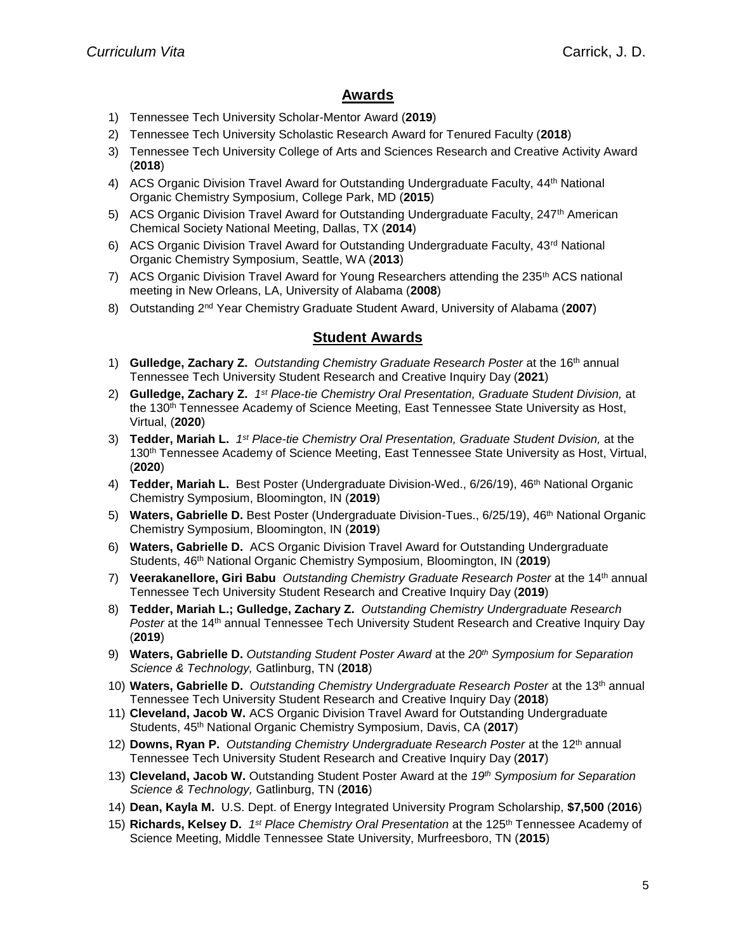# **Awards**

- 1) Tennessee Tech University Scholar-Mentor Award (**2019**)
- 2) Tennessee Tech University Scholastic Research Award for Tenured Faculty (**2018**)
- 3) Tennessee Tech University College of Arts and Sciences Research and Creative Activity Award (**2018**)
- 4) ACS Organic Division Travel Award for Outstanding Undergraduate Faculty, 44<sup>th</sup> National Organic Chemistry Symposium, College Park, MD (**2015**)
- 5) ACS Organic Division Travel Award for Outstanding Undergraduate Faculty, 247<sup>th</sup> American Chemical Society National Meeting, Dallas, TX (**2014**)
- 6) ACS Organic Division Travel Award for Outstanding Undergraduate Faculty,  $43<sup>rd</sup>$  National Organic Chemistry Symposium, Seattle, WA (**2013**)
- 7) ACS Organic Division Travel Award for Young Researchers attending the 235<sup>th</sup> ACS national meeting in New Orleans, LA, University of Alabama (**2008**)
- 8) Outstanding 2nd Year Chemistry Graduate Student Award, University of Alabama (**2007**)

#### **Student Awards**

- 1) **Gulledge, Zachary Z.** *Outstanding Chemistry Graduate Research Poster* at the 16th annual Tennessee Tech University Student Research and Creative Inquiry Day (**2021**)
- 2) **Gulledge, Zachary Z.** *1 st Place-tie Chemistry Oral Presentation, Graduate Student Division,* at the 130<sup>th</sup> Tennessee Academy of Science Meeting, East Tennessee State University as Host, Virtual, (**2020**)
- 3) **Tedder, Mariah L.** *1 st Place-tie Chemistry Oral Presentation, Graduate Student Dvision,* at the 130<sup>th</sup> Tennessee Academy of Science Meeting, East Tennessee State University as Host, Virtual, (**2020**)
- 4) **Tedder, Mariah L.** Best Poster (Undergraduate Division-Wed., 6/26/19), 46th National Organic Chemistry Symposium, Bloomington, IN (**2019**)
- 5) **Waters, Gabrielle D.** Best Poster (Undergraduate Division-Tues., 6/25/19), 46th National Organic Chemistry Symposium, Bloomington, IN (**2019**)
- 6) **Waters, Gabrielle D.** ACS Organic Division Travel Award for Outstanding Undergraduate Students, 46 th National Organic Chemistry Symposium, Bloomington, IN (**2019**)
- 7) **Veerakanellore, Giri Babu** *Outstanding Chemistry Graduate Research Poster* at the 14th annual Tennessee Tech University Student Research and Creative Inquiry Day (**2019**)
- 8) **Tedder, Mariah L.; Gulledge, Zachary Z.** *Outstanding Chemistry Undergraduate Research Poster* at the 14th annual Tennessee Tech University Student Research and Creative Inquiry Day (**2019**)
- 9) **Waters, Gabrielle D.** *Outstanding Student Poster Award* at the *20th Symposium for Separation Science & Technology,* Gatlinburg, TN (**2018**)
- 10) **Waters, Gabrielle D.** *Outstanding Chemistry Undergraduate Research Poster* at the 13th annual Tennessee Tech University Student Research and Creative Inquiry Day (**2018**)
- 11) **Cleveland, Jacob W.** ACS Organic Division Travel Award for Outstanding Undergraduate Students, 45 th National Organic Chemistry Symposium, Davis, CA (**2017**)
- 12) **Downs, Ryan P.** *Outstanding Chemistry Undergraduate Research Poster* at the 12th annual Tennessee Tech University Student Research and Creative Inquiry Day (**2017**)
- 13) **Cleveland, Jacob W.** Outstanding Student Poster Award at the *19th Symposium for Separation Science & Technology,* Gatlinburg, TN (**2016**)
- 14) **Dean, Kayla M.** U.S. Dept. of Energy Integrated University Program Scholarship, **\$7,500** (**2016**)
- 15) Richards, Kelsey D. 1<sup>st</sup> Place Chemistry Oral Presentation at the 125<sup>th</sup> Tennessee Academy of Science Meeting, Middle Tennessee State University, Murfreesboro, TN (**2015**)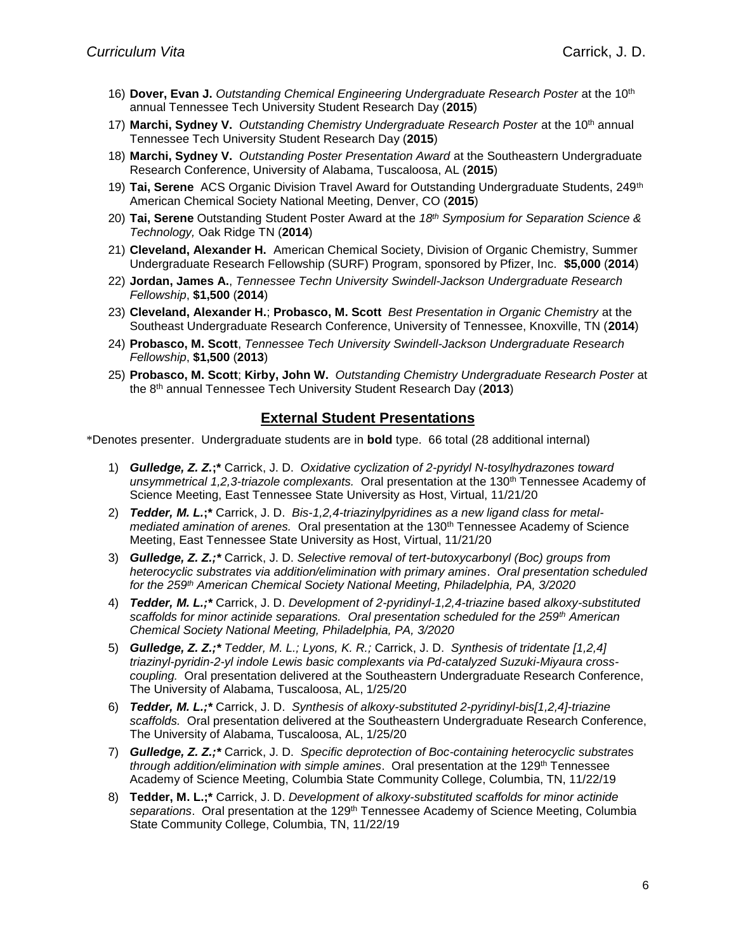- 16) **Dover, Evan J.** *Outstanding Chemical Engineering Undergraduate Research Poster* at the 10th annual Tennessee Tech University Student Research Day (**2015**)
- 17) **Marchi, Sydney V.** *Outstanding Chemistry Undergraduate Research Poster* at the 10th annual Tennessee Tech University Student Research Day (**2015**)
- 18) **Marchi, Sydney V.** *Outstanding Poster Presentation Award* at the Southeastern Undergraduate Research Conference, University of Alabama, Tuscaloosa, AL (**2015**)
- 19) **Tai, Serene** ACS Organic Division Travel Award for Outstanding Undergraduate Students, 249th American Chemical Society National Meeting, Denver, CO (**2015**)
- 20) **Tai, Serene** Outstanding Student Poster Award at the *18th Symposium for Separation Science & Technology,* Oak Ridge TN (**2014**)
- 21) **Cleveland, Alexander H.** American Chemical Society, Division of Organic Chemistry, Summer Undergraduate Research Fellowship (SURF) Program, sponsored by Pfizer, Inc. **\$5,000** (**2014**)
- 22) **Jordan, James A.**, *Tennessee Techn University Swindell-Jackson Undergraduate Research Fellowship*, **\$1,500** (**2014**)
- 23) **Cleveland, Alexander H.**; **Probasco, M. Scott** *Best Presentation in Organic Chemistry* at the Southeast Undergraduate Research Conference, University of Tennessee, Knoxville, TN (**2014**)
- 24) **Probasco, M. Scott**, *Tennessee Tech University Swindell-Jackson Undergraduate Research Fellowship*, **\$1,500** (**2013**)
- 25) **Probasco, M. Scott**; **Kirby, John W.** *Outstanding Chemistry Undergraduate Research Poster* at the 8 th annual Tennessee Tech University Student Research Day (**2013**)

#### **External Student Presentations**

\*Denotes presenter. Undergraduate students are in **bold** type. 66 total (28 additional internal)

- 1) *Gulledge, Z. Z.***;\*** Carrick, J. D. *Oxidative cyclization of 2-pyridyl N-tosylhydrazones toward unsymmetrical 1,2,3-triazole complexants.* Oral presentation at the 130th Tennessee Academy of Science Meeting, East Tennessee State University as Host, Virtual, 11/21/20
- 2) *Tedder, M. L.***;\*** Carrick, J. D. *Bis-1,2,4-triazinylpyridines as a new ligand class for metal*mediated amination of arenes. Oral presentation at the 130<sup>th</sup> Tennessee Academy of Science Meeting, East Tennessee State University as Host, Virtual, 11/21/20
- 3) *Gulledge, Z. Z.;\** Carrick, J. D. *Selective removal of tert-butoxycarbonyl (Boc) groups from heterocyclic substrates via addition/elimination with primary amines*. *Oral presentation scheduled for the 259th American Chemical Society National Meeting, Philadelphia, PA, 3/2020*
- 4) *Tedder, M. L.;\** Carrick, J. D. *Development of 2-pyridinyl-1,2,4-triazine based alkoxy-substituted scaffolds for minor actinide separations. Oral presentation scheduled for the 259th American Chemical Society National Meeting, Philadelphia, PA, 3/2020*
- 5) *Gulledge, Z. Z.;\* Tedder, M. L.; Lyons, K. R.;* Carrick, J. D. *Synthesis of tridentate [1,2,4] triazinyl-pyridin-2-yl indole Lewis basic complexants via Pd-catalyzed Suzuki-Miyaura crosscoupling.* Oral presentation delivered at the Southeastern Undergraduate Research Conference, The University of Alabama, Tuscaloosa, AL, 1/25/20
- 6) *Tedder, M. L.;\** Carrick, J. D. *Synthesis of alkoxy-substituted 2-pyridinyl-bis[1,2,4]-triazine scaffolds.* Oral presentation delivered at the Southeastern Undergraduate Research Conference, The University of Alabama, Tuscaloosa, AL, 1/25/20
- 7) *Gulledge, Z. Z.;\** Carrick, J. D. *Specific deprotection of Boc-containing heterocyclic substrates*  through addition/elimination with simple amines. Oral presentation at the 129<sup>th</sup> Tennessee Academy of Science Meeting, Columbia State Community College, Columbia, TN, 11/22/19
- 8) **Tedder, M. L.;\*** Carrick, J. D. *Development of alkoxy-substituted scaffolds for minor actinide*  separations. Oral presentation at the 129<sup>th</sup> Tennessee Academy of Science Meeting, Columbia State Community College, Columbia, TN, 11/22/19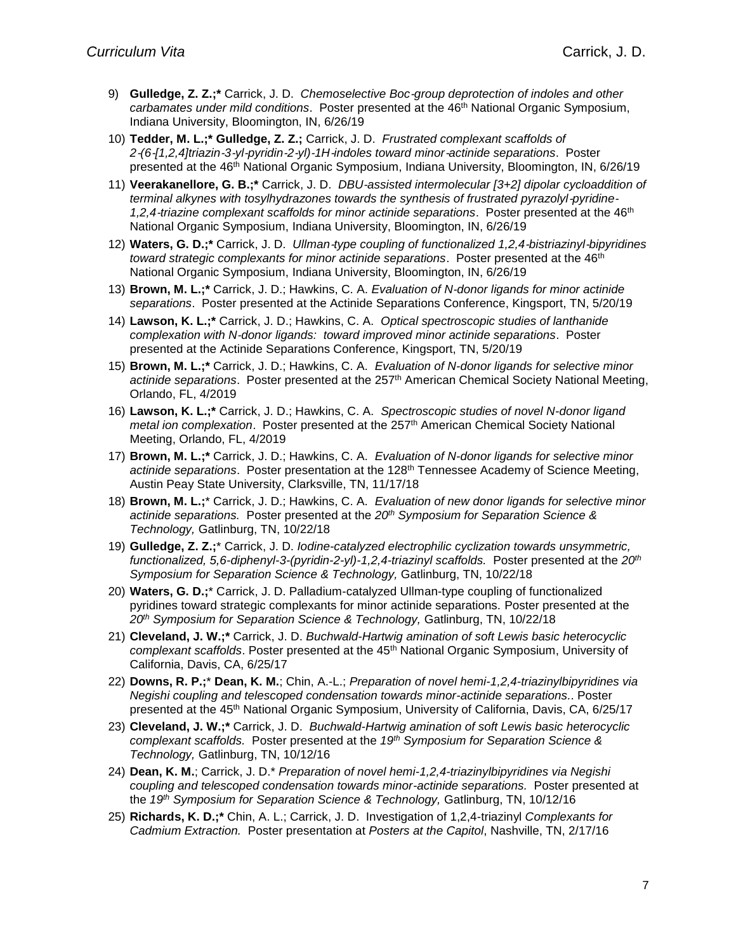- 9) **Gulledge, Z. Z.;\*** Carrick, J. D. *Chemoselective Boc*‐*group deprotection of indoles and other*  carbamates under mild conditions. Poster presented at the 46<sup>th</sup> National Organic Symposium, Indiana University, Bloomington, IN, 6/26/19
- 10) **Tedder, M. L.;\* Gulledge, Z. Z.;** Carrick, J. D. *Frustrated complexant scaffolds of 2*‐*(6*‐*[1,2,4]triazin*‐*3*‐*yl*‐*pyridin*‐*2*‐*yl)*‐*1H*‐*indoles toward minor*‐*actinide separations*. Poster presented at the 46<sup>th</sup> National Organic Symposium, Indiana University, Bloomington, IN, 6/26/19
- 11) **Veerakanellore, G. B.;\*** Carrick, J. D. *DBU*‐*assisted intermolecular [3+2] dipolar cycloaddition of terminal alkynes with tosylhydrazones towards the synthesis of frustrated pyrazolyl*‐*pyridine*‐ *1,2,4*‐*triazine complexant scaffolds for minor actinide separations*. Poster presented at the 46th National Organic Symposium, Indiana University, Bloomington, IN, 6/26/19
- 12) **Waters, G. D.;\*** Carrick, J. D. *Ullman*‐*type coupling of functionalized 1,2,4*‐*bistriazinyl*‐*bipyridines toward strategic complexants for minor actinide separations*. Poster presented at the 46th National Organic Symposium, Indiana University, Bloomington, IN, 6/26/19
- 13) **Brown, M. L.;\*** Carrick, J. D.; Hawkins, C. A. *Evaluation of N*‐*donor ligands for minor actinide separations*. Poster presented at the Actinide Separations Conference, Kingsport, TN, 5/20/19
- 14) **Lawson, K. L.;\*** Carrick, J. D.; Hawkins, C. A. *Optical spectroscopic studies of lanthanide complexation with N*‐*donor ligands: toward improved minor actinide separations*. Poster presented at the Actinide Separations Conference, Kingsport, TN, 5/20/19
- 15) **Brown, M. L.;\*** Carrick, J. D.; Hawkins, C. A. *Evaluation of N-donor ligands for selective minor actinide separations*. Poster presented at the 257th American Chemical Society National Meeting, Orlando, FL, 4/2019
- 16) **Lawson, K. L.;\*** Carrick, J. D.; Hawkins, C. A. *Spectroscopic studies of novel N-donor ligand metal ion complexation*. Poster presented at the 257th American Chemical Society National Meeting, Orlando, FL, 4/2019
- 17) **Brown, M. L.;\*** Carrick, J. D.; Hawkins, C. A. *Evaluation of N-donor ligands for selective minor*  actinide separations. Poster presentation at the 128<sup>th</sup> Tennessee Academy of Science Meeting, Austin Peay State University, Clarksville, TN, 11/17/18
- 18) **Brown, M. L.;**\* Carrick, J. D.; Hawkins, C. A. *Evaluation of new donor ligands for selective minor actinide separations.* Poster presented at the *20th Symposium for Separation Science & Technology,* Gatlinburg, TN, 10/22/18
- 19) **Gulledge, Z. Z.;**\* Carrick, J. D. *Iodine-catalyzed electrophilic cyclization towards unsymmetric, functionalized, 5,6-diphenyl-3-(pyridin-2-yl)-1,2,4-triazinyl scaffolds.* Poster presented at the *20th Symposium for Separation Science & Technology,* Gatlinburg, TN, 10/22/18
- 20) **Waters, G. D.;**\* Carrick, J. D. Palladium-catalyzed Ullman-type coupling of functionalized pyridines toward strategic complexants for minor actinide separations. Poster presented at the *20th Symposium for Separation Science & Technology,* Gatlinburg, TN, 10/22/18
- 21) **Cleveland, J. W.;\*** Carrick, J. D. *Buchwald-Hartwig amination of soft Lewis basic heterocyclic complexant scaffolds*. Poster presented at the 45th National Organic Symposium, University of California, Davis, CA, 6/25/17
- 22) **Downs, R. P.;**\* **Dean, K. M.**; Chin, A.-L.; *Preparation of novel hemi-1,2,4-triazinylbipyridines via Negishi coupling and telescoped condensation towards minor-actinide separations.*. Poster presented at the 45<sup>th</sup> National Organic Symposium, University of California, Davis, CA, 6/25/17
- 23) **Cleveland, J. W.;\*** Carrick, J. D. *Buchwald-Hartwig amination of soft Lewis basic heterocyclic complexant scaffolds.* Poster presented at the *19th Symposium for Separation Science & Technology,* Gatlinburg, TN, 10/12/16
- 24) **Dean, K. M.**; Carrick, J. D.\* *Preparation of novel hemi-1,2,4-triazinylbipyridines via Negishi coupling and telescoped condensation towards minor-actinide separations.* Poster presented at the *19 th Symposium for Separation Science & Technology,* Gatlinburg, TN, 10/12/16
- 25) **Richards, K. D.;\*** Chin, A. L.; Carrick, J. D. Investigation of 1,2,4-triazinyl *Complexants for Cadmium Extraction.* Poster presentation at *Posters at the Capitol*, Nashville, TN, 2/17/16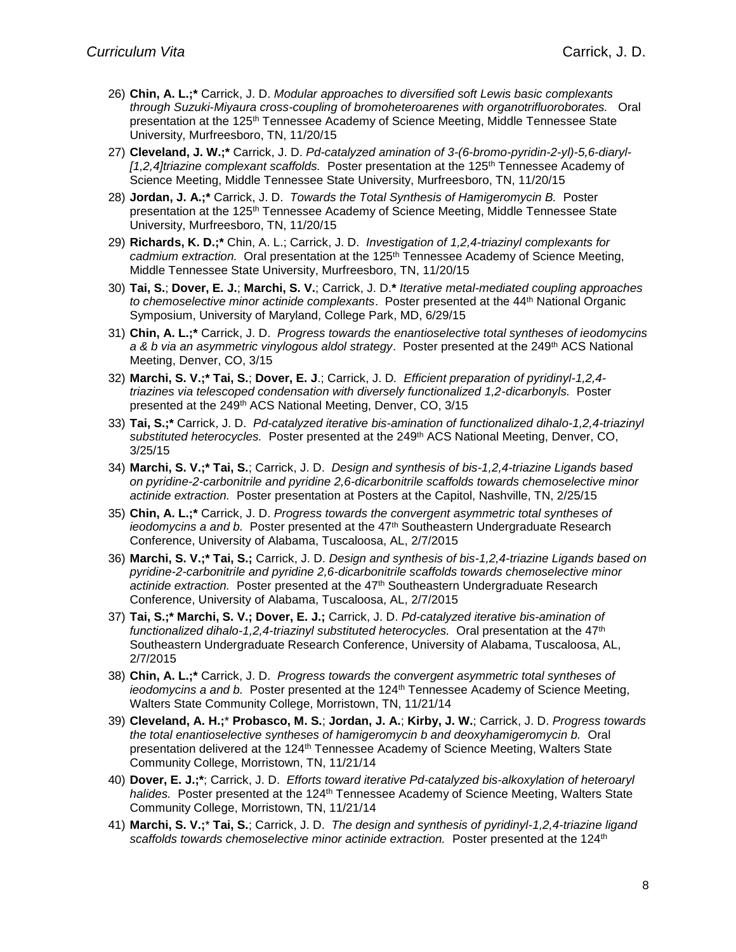- 26) **Chin, A. L.;\*** Carrick, J. D. *Modular approaches to diversified soft Lewis basic complexants through Suzuki-Miyaura cross-coupling of bromoheteroarenes with organotrifluoroborates.* Oral presentation at the 125<sup>th</sup> Tennessee Academy of Science Meeting, Middle Tennessee State University, Murfreesboro, TN, 11/20/15
- 27) **Cleveland, J. W.;\*** Carrick, J. D. *Pd-catalyzed amination of 3-(6-bromo-pyridin-2-yl)-5,6-diaryl- [1,2,4]triazine complexant scaffolds.* Poster presentation at the 125th Tennessee Academy of Science Meeting, Middle Tennessee State University, Murfreesboro, TN, 11/20/15
- 28) **Jordan, J. A.;\*** Carrick, J. D. *Towards the Total Synthesis of Hamigeromycin B.* Poster presentation at the 125<sup>th</sup> Tennessee Academy of Science Meeting, Middle Tennessee State University, Murfreesboro, TN, 11/20/15
- 29) **Richards, K. D.;\*** Chin, A. L.; Carrick, J. D. *Investigation of 1,2,4-triazinyl complexants for*  cadmium extraction. Oral presentation at the 125<sup>th</sup> Tennessee Academy of Science Meeting, Middle Tennessee State University, Murfreesboro, TN, 11/20/15
- 30) **Tai, S.**; **Dover, E. J.**; **Marchi, S. V.**; Carrick, J. D.**\*** *Iterative metal-mediated coupling approaches to chemoselective minor actinide complexants*. Poster presented at the 44th National Organic Symposium, University of Maryland, College Park, MD, 6/29/15
- 31) **Chin, A. L.;\*** Carrick, J. D. *Progress towards the enantioselective total syntheses of ieodomycins*  a & b via an asymmetric vinylogous aldol strategy. Poster presented at the 249<sup>th</sup> ACS National Meeting, Denver, CO, 3/15
- 32) **Marchi, S. V.;\* Tai, S.**; **Dover, E. J**.; Carrick, J. D*. Efficient preparation of pyridinyl-1,2,4 triazines via telescoped condensation with diversely functionalized 1,2-dicarbonyls.* Poster presented at the 249th ACS National Meeting, Denver, CO, 3/15
- 33) **Tai, S.;\*** Carrick, J. D. *Pd-catalyzed iterative bis-amination of functionalized dihalo-1,2,4-triazinyl substituted heterocycles.* Poster presented at the 249th ACS National Meeting, Denver, CO, 3/25/15
- 34) **Marchi, S. V.;\* Tai, S.**; Carrick, J. D. *Design and synthesis of bis-1,2,4-triazine Ligands based on pyridine-2-carbonitrile and pyridine 2,6-dicarbonitrile scaffolds towards chemoselective minor actinide extraction.* Poster presentation at Posters at the Capitol, Nashville, TN, 2/25/15
- 35) **Chin, A. L.;\*** Carrick, J. D. *Progress towards the convergent asymmetric total syntheses of ieodomycins a and b.* Poster presented at the 47<sup>th</sup> Southeastern Undergraduate Research Conference, University of Alabama, Tuscaloosa, AL, 2/7/2015
- 36) **Marchi, S. V.;\* Tai, S.;** Carrick, J. D. *Design and synthesis of bis-1,2,4-triazine Ligands based on pyridine-2-carbonitrile and pyridine 2,6-dicarbonitrile scaffolds towards chemoselective minor actinide extraction.* Poster presented at the 47th Southeastern Undergraduate Research Conference, University of Alabama, Tuscaloosa, AL, 2/7/2015
- 37) **Tai, S.;\* Marchi, S. V.; Dover, E. J.;** Carrick, J. D. *Pd-catalyzed iterative bis-amination of*  functionalized dihalo-1,2,4-triazinyl substituted heterocycles. Oral presentation at the 47<sup>th</sup> Southeastern Undergraduate Research Conference, University of Alabama, Tuscaloosa, AL, 2/7/2015
- 38) **Chin, A. L.;\*** Carrick, J. D. *Progress towards the convergent asymmetric total syntheses of ieodomycins a and b.* Poster presented at the 124<sup>th</sup> Tennessee Academy of Science Meeting, Walters State Community College, Morristown, TN, 11/21/14
- 39) **Cleveland, A. H.;**\* **Probasco, M. S.**; **Jordan, J. A.**; **Kirby, J. W.**; Carrick, J. D. *Progress towards the total enantioselective syntheses of hamigeromycin b and deoxyhamigeromycin b.* Oral presentation delivered at the 124<sup>th</sup> Tennessee Academy of Science Meeting, Walters State Community College, Morristown, TN, 11/21/14
- 40) **Dover, E. J.;\***; Carrick, J. D. *Efforts toward iterative Pd-catalyzed bis-alkoxylation of heteroaryl*  halides. Poster presented at the 124<sup>th</sup> Tennessee Academy of Science Meeting, Walters State Community College, Morristown, TN, 11/21/14
- 41) **Marchi, S. V.;**\* **Tai, S.**; Carrick, J. D. *The design and synthesis of pyridinyl-1,2,4-triazine ligand*  scaffolds towards chemoselective minor actinide extraction. Poster presented at the 124<sup>th</sup>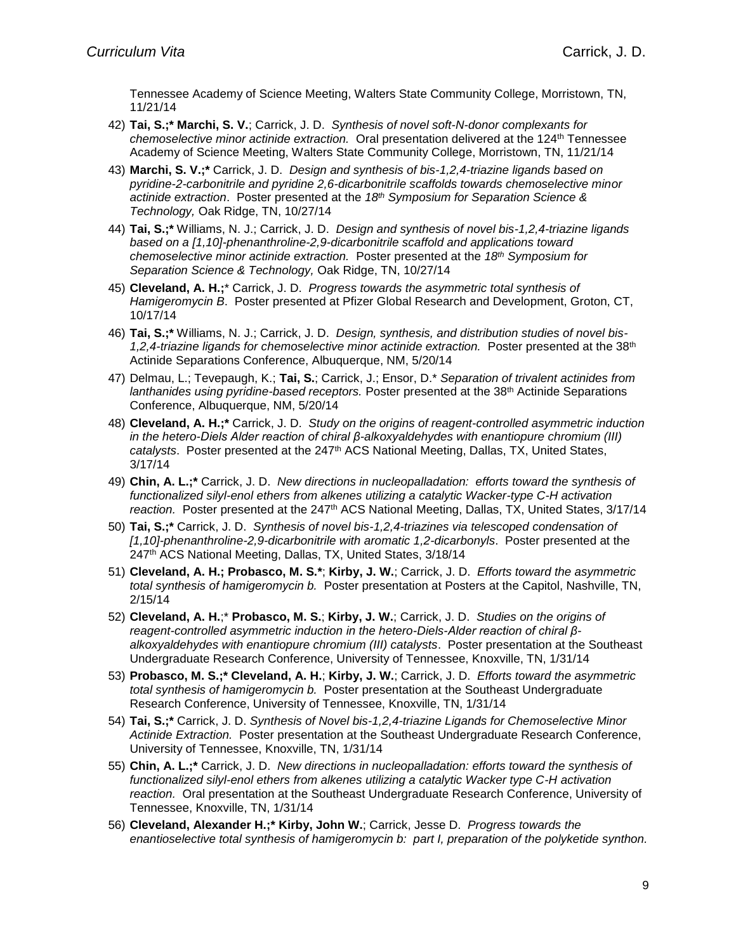Tennessee Academy of Science Meeting, Walters State Community College, Morristown, TN, 11/21/14

- 42) **Tai, S.;\* Marchi, S. V.**; Carrick, J. D. *Synthesis of novel soft-N-donor complexants for chemoselective minor actinide extraction.* Oral presentation delivered at the 124th Tennessee Academy of Science Meeting, Walters State Community College, Morristown, TN, 11/21/14
- 43) **Marchi, S. V.;\*** Carrick, J. D. *Design and synthesis of bis-1,2,4-triazine ligands based on pyridine-2-carbonitrile and pyridine 2,6-dicarbonitrile scaffolds towards chemoselective minor actinide extraction*. Poster presented at the *18th Symposium for Separation Science & Technology,* Oak Ridge, TN, 10/27/14
- 44) **Tai, S.;\*** Williams, N. J.; Carrick, J. D. *Design and synthesis of novel bis-1,2,4-triazine ligands based on a [1,10]-phenanthroline-2,9-dicarbonitrile scaffold and applications toward chemoselective minor actinide extraction.* Poster presented at the *18th Symposium for Separation Science & Technology,* Oak Ridge, TN, 10/27/14
- 45) **Cleveland, A. H.;**\* Carrick, J. D. *Progress towards the asymmetric total synthesis of Hamigeromycin B*. Poster presented at Pfizer Global Research and Development, Groton, CT, 10/17/14
- 46) **Tai, S.;\*** Williams, N. J.; Carrick, J. D. *Design, synthesis, and distribution studies of novel bis-*1,2,4-triazine ligands for chemoselective minor actinide extraction. Poster presented at the 38<sup>th</sup> Actinide Separations Conference, Albuquerque, NM, 5/20/14
- 47) Delmau, L.; Tevepaugh, K.; **Tai, S.**; Carrick, J.; Ensor, D.\* *Separation of trivalent actinides from lanthanides using pyridine-based receptors.* Poster presented at the 38th Actinide Separations Conference, Albuquerque, NM, 5/20/14
- 48) **Cleveland, A. H.;\*** Carrick, J. D. *Study on the origins of reagent-controlled asymmetric induction in the hetero-Diels Alder reaction of chiral β-alkoxyaldehydes with enantiopure chromium (III) catalysts*. Poster presented at the 247th ACS National Meeting, Dallas, TX, United States, 3/17/14
- 49) **Chin, A. L.;\*** Carrick, J. D. *New directions in nucleopalladation: efforts toward the synthesis of functionalized silyl-enol ethers from alkenes utilizing a catalytic Wacker-type C-H activation*  reaction. Poster presented at the 247<sup>th</sup> ACS National Meeting, Dallas, TX, United States, 3/17/14
- 50) **Tai, S.;\*** Carrick, J. D. *Synthesis of novel bis-1,2,4-triazines via telescoped condensation of [1,10]-phenanthroline-2,9-dicarbonitrile with aromatic 1,2-dicarbonyls*. Poster presented at the 247th ACS National Meeting, Dallas, TX, United States, 3/18/14
- 51) **Cleveland, A. H.; Probasco, M. S.\***; **Kirby, J. W.**; Carrick, J. D. *Efforts toward the asymmetric total synthesis of hamigeromycin b.*Poster presentation at Posters at the Capitol, Nashville, TN, 2/15/14
- 52) **Cleveland, A. H.**;\* **Probasco, M. S.**; **Kirby, J. W.**; Carrick, J. D. *Studies on the origins of reagent-controlled asymmetric induction in the hetero-Diels-Alder reaction of chiral βalkoxyaldehydes with enantiopure chromium (III) catalysts*. Poster presentation at the Southeast Undergraduate Research Conference, University of Tennessee, Knoxville, TN, 1/31/14
- 53) **Probasco, M. S.;\* Cleveland, A. H.**; **Kirby, J. W.**; Carrick, J. D. *Efforts toward the asymmetric total synthesis of hamigeromycin b.*Poster presentation at the Southeast Undergraduate Research Conference, University of Tennessee, Knoxville, TN, 1/31/14
- 54) **Tai, S.;\*** Carrick, J. D. *Synthesis of Novel bis-1,2,4-triazine Ligands for Chemoselective Minor Actinide Extraction.* Poster presentation at the Southeast Undergraduate Research Conference, University of Tennessee, Knoxville, TN, 1/31/14
- 55) **Chin, A. L.;\*** Carrick, J. D. *New directions in nucleopalladation: efforts toward the synthesis of functionalized silyl-enol ethers from alkenes utilizing a catalytic Wacker type C-H activation reaction.* Oral presentation at the Southeast Undergraduate Research Conference, University of Tennessee, Knoxville, TN, 1/31/14
- 56) **Cleveland, Alexander H.;\* Kirby, John W.**; Carrick, Jesse D. *Progress towards the enantioselective total synthesis of hamigeromycin b: part I, preparation of the polyketide synthon.*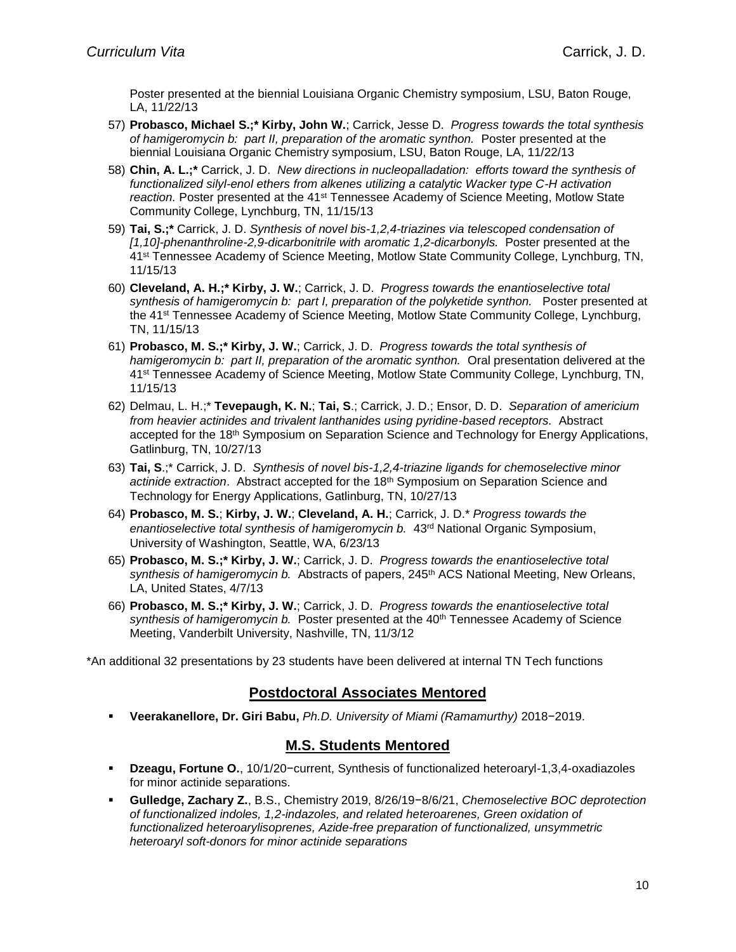Poster presented at the biennial Louisiana Organic Chemistry symposium, LSU, Baton Rouge, LA, 11/22/13

- 57) **Probasco, Michael S.;\* Kirby, John W.**; Carrick, Jesse D. *Progress towards the total synthesis of hamigeromycin b: part II, preparation of the aromatic synthon.* Poster presented at the biennial Louisiana Organic Chemistry symposium, LSU, Baton Rouge, LA, 11/22/13
- 58) **Chin, A. L.;\*** Carrick, J. D. *New directions in nucleopalladation: efforts toward the synthesis of functionalized silyl-enol ethers from alkenes utilizing a catalytic Wacker type C-H activation*  reaction. Poster presented at the 41<sup>st</sup> Tennessee Academy of Science Meeting, Motlow State Community College, Lynchburg, TN, 11/15/13
- 59) **Tai, S.;\*** Carrick, J. D. *Synthesis of novel bis-1,2,4-triazines via telescoped condensation of [1,10]-phenanthroline-2,9-dicarbonitrile with aromatic 1,2-dicarbonyls.* Poster presented at the 41st Tennessee Academy of Science Meeting, Motlow State Community College, Lynchburg, TN, 11/15/13
- 60) **Cleveland, A. H.;\* Kirby, J. W.**; Carrick, J. D. *Progress towards the enantioselective total synthesis of hamigeromycin b: part I, preparation of the polyketide synthon.* Poster presented at the 41<sup>st</sup> Tennessee Academy of Science Meeting, Motlow State Community College, Lynchburg, TN, 11/15/13
- 61) **Probasco, M. S.;\* Kirby, J. W.**; Carrick, J. D. *Progress towards the total synthesis of hamigeromycin b: part II, preparation of the aromatic synthon.* Oral presentation delivered at the 41st Tennessee Academy of Science Meeting, Motlow State Community College, Lynchburg, TN, 11/15/13
- 62) Delmau, L. H.;\* **Tevepaugh, K. N.**; **Tai, S**.; Carrick, J. D.; Ensor, D. D. *Separation of americium from heavier actinides and trivalent lanthanides using pyridine-based receptors.* Abstract accepted for the 18<sup>th</sup> Symposium on Separation Science and Technology for Energy Applications, Gatlinburg, TN, 10/27/13
- 63) **Tai, S**.;\* Carrick, J. D. *Synthesis of novel bis-1,2,4-triazine ligands for chemoselective minor actinide extraction*. Abstract accepted for the 18th Symposium on Separation Science and Technology for Energy Applications, Gatlinburg, TN, 10/27/13
- 64) **Probasco, M. S.**; **Kirby, J. W.**; **Cleveland, A. H.**; Carrick, J. D.\* *Progress towards the*  enantioselective total synthesis of hamigeromycin b. 43<sup>rd</sup> National Organic Symposium, University of Washington, Seattle, WA, 6/23/13
- 65) **Probasco, M. S.;\* Kirby, J. W.**; Carrick, J. D. *Progress towards the enantioselective total*  synthesis of hamigeromycin b. Abstracts of papers, 245<sup>th</sup> ACS National Meeting, New Orleans, LA, United States, 4/7/13
- 66) **Probasco, M. S.;\* Kirby, J. W.**; Carrick, J. D. *Progress towards the enantioselective total*  synthesis of hamigeromycin b. Poster presented at the 40<sup>th</sup> Tennessee Academy of Science Meeting, Vanderbilt University, Nashville, TN, 11/3/12

\*An additional 32 presentations by 23 students have been delivered at internal TN Tech functions

## **Postdoctoral Associates Mentored**

▪ **Veerakanellore, Dr. Giri Babu,** *Ph.D. University of Miami (Ramamurthy)* 2018−2019.

## **M.S. Students Mentored**

- **Dzeagu, Fortune O.**, 10/1/20−current, Synthesis of functionalized heteroaryl-1,3,4-oxadiazoles for minor actinide separations.
- **Gulledge, Zachary Z.**, B.S., Chemistry 2019, 8/26/19−8/6/21, *Chemoselective BOC deprotection of functionalized indoles, 1,2-indazoles, and related heteroarenes, Green oxidation of functionalized heteroarylisoprenes, Azide-free preparation of functionalized, unsymmetric heteroaryl soft-donors for minor actinide separations*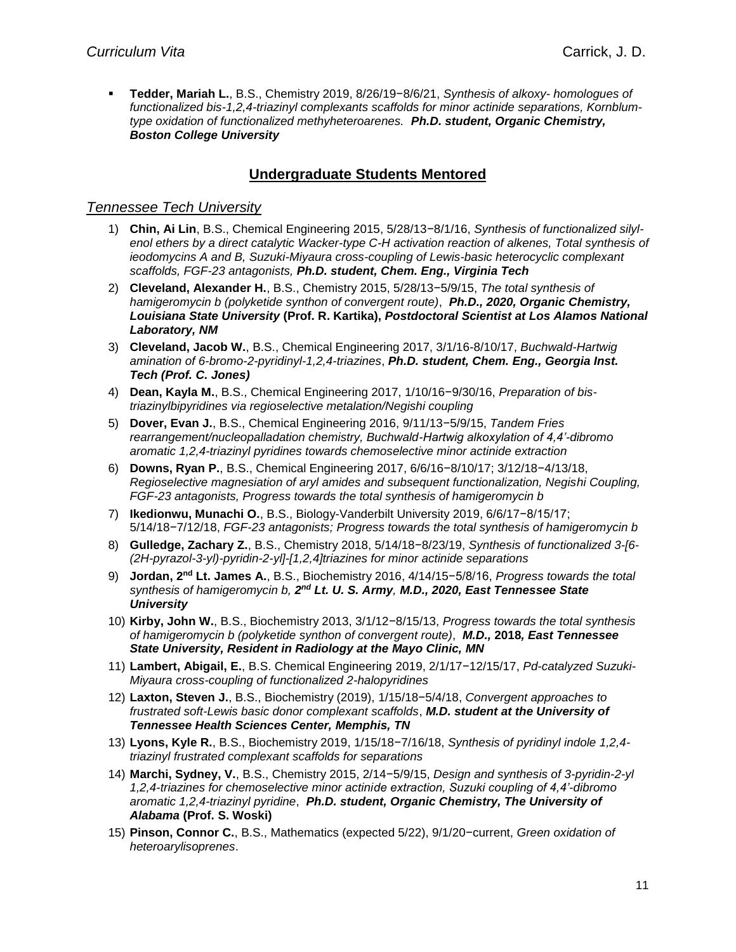▪ **Tedder, Mariah L.**, B.S., Chemistry 2019, 8/26/19−8/6/21, *Synthesis of alkoxy- homologues of functionalized bis-1,2,4-triazinyl complexants scaffolds for minor actinide separations, Kornblumtype oxidation of functionalized methyheteroarenes. Ph.D. student, Organic Chemistry, Boston College University*

# **Undergraduate Students Mentored**

#### *Tennessee Tech University*

- 1) **Chin, Ai Lin**, B.S., Chemical Engineering 2015, 5/28/13−8/1/16, *Synthesis of functionalized silylenol ethers by a direct catalytic Wacker-type C-H activation reaction of alkenes, Total synthesis of ieodomycins A and B, Suzuki-Miyaura cross-coupling of Lewis-basic heterocyclic complexant scaffolds, FGF-23 antagonists, Ph.D. student, Chem. Eng., Virginia Tech*
- 2) **Cleveland, Alexander H.**, B.S., Chemistry 2015, 5/28/13−5/9/15, *The total synthesis of hamigeromycin b (polyketide synthon of convergent route)*, *Ph.D., 2020, Organic Chemistry, Louisiana State University* **(Prof. R. Kartika),** *Postdoctoral Scientist at Los Alamos National Laboratory, NM*
- 3) **Cleveland, Jacob W.**, B.S., Chemical Engineering 2017, 3/1/16-8/10/17, *Buchwald-Hartwig amination of 6-bromo-2-pyridinyl-1,2,4-triazines*, *Ph.D. student, Chem. Eng., Georgia Inst. Tech (Prof. C. Jones)*
- 4) **Dean, Kayla M.**, B.S., Chemical Engineering 2017, 1/10/16−9/30/16, *Preparation of bistriazinylbipyridines via regioselective metalation/Negishi coupling*
- 5) **Dover, Evan J.**, B.S., Chemical Engineering 2016, 9/11/13−5/9/15, *Tandem Fries rearrangement/nucleopalladation chemistry, Buchwald-Hartwig alkoxylation of 4,4'-dibromo aromatic 1,2,4-triazinyl pyridines towards chemoselective minor actinide extraction*
- 6) **Downs, Ryan P.**, B.S., Chemical Engineering 2017, 6/6/16−8/10/17; 3/12/18−4/13/18, *Regioselective magnesiation of aryl amides and subsequent functionalization, Negishi Coupling, FGF-23 antagonists, Progress towards the total synthesis of hamigeromycin b*
- 7) **Ikedionwu, Munachi O.**, B.S., Biology-Vanderbilt University 2019, 6/6/17−8/15/17; 5/14/18−7/12/18, *FGF-23 antagonists; Progress towards the total synthesis of hamigeromycin b*
- 8) **Gulledge, Zachary Z.**, B.S., Chemistry 2018, 5/14/18−8/23/19, *Synthesis of functionalized 3-[6- (2H-pyrazol-3-yl)-pyridin-2-yl]-[1,2,4]triazines for minor actinide separations*
- 9) **Jordan, 2<sup>nd</sup> Lt. James A.**, B.S., Biochemistry 2016, 4/14/15−5/8/16, *Progress towards the total* synthesis of hamigeromycin b, 2<sup>nd</sup> Lt. U. S. Army, M.D., 2020, East Tennessee State *University*
- 10) **Kirby, John W.**, B.S., Biochemistry 2013, 3/1/12−8/15/13, *Progress towards the total synthesis of hamigeromycin b (polyketide synthon of convergent route)*, *M.D.,* **2018***, East Tennessee State University, Resident in Radiology at the Mayo Clinic, MN*
- 11) **Lambert, Abigail, E.**, B.S. Chemical Engineering 2019, 2/1/17−12/15/17, *Pd-catalyzed Suzuki-Miyaura cross-coupling of functionalized 2-halopyridines*
- 12) **Laxton, Steven J.**, B.S., Biochemistry (2019), 1/15/18−5/4/18, *Convergent approaches to frustrated soft-Lewis basic donor complexant scaffolds*, *M.D. student at the University of Tennessee Health Sciences Center, Memphis, TN*
- 13) **Lyons, Kyle R.**, B.S., Biochemistry 2019, 1/15/18−7/16/18, *Synthesis of pyridinyl indole 1,2,4 triazinyl frustrated complexant scaffolds for separations*
- 14) **Marchi, Sydney, V.**, B.S., Chemistry 2015, 2/14−5/9/15, *Design and synthesis of 3-pyridin-2-yl 1,2,4-triazines for chemoselective minor actinide extraction, Suzuki coupling of 4,4'-dibromo aromatic 1,2,4-triazinyl pyridine*, *Ph.D. student, Organic Chemistry, The University of Alabama* **(Prof. S. Woski)**
- 15) **Pinson, Connor C.**, B.S., Mathematics (expected 5/22), 9/1/20−current, *Green oxidation of heteroarylisoprenes*.